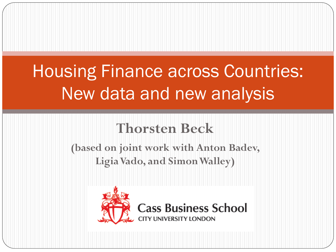# Housing Finance across Countries: New data and new analysis

#### **Thorsten Beck**

**(based on joint work with Anton Badev, LigiaVado, and Simon Walley)**

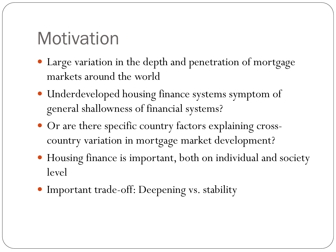## **Motivation**

- Large variation in the depth and penetration of mortgage markets around the world
- Underdeveloped housing finance systems symptom of general shallowness of financial systems?
- Or are there specific country factors explaining crosscountry variation in mortgage market development?
- Housing finance is important, both on individual and society level
- Important trade-off: Deepening vs. stability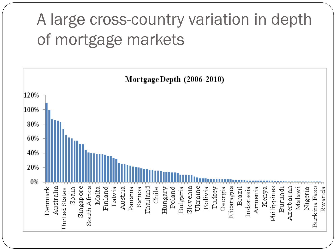## A large cross-country variation in depth of mortgage markets

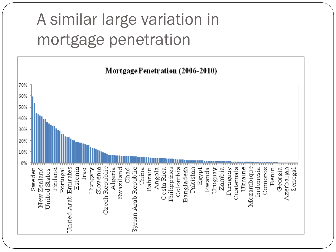## A similar large variation in mortgage penetration

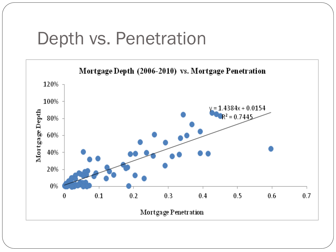#### Depth vs. Penetration

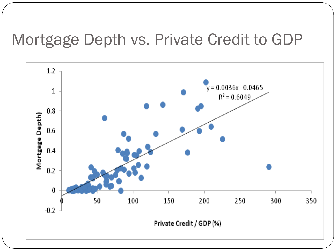#### Mortgage Depth vs. Private Credit to GDP

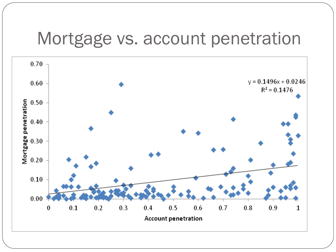#### Mortgage vs. account penetration

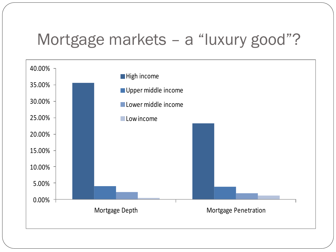#### Mortgage markets – a "luxury good"?

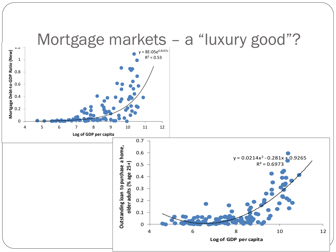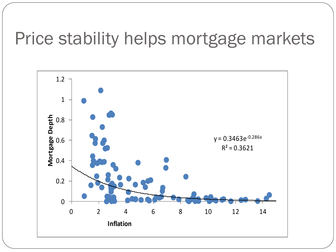## Price stability helps mortgage markets

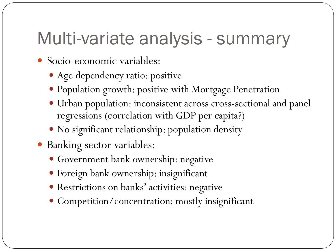#### Multi-variate analysis - summary

- Socio-economic variables:
	- Age dependency ratio: positive
	- Population growth: positive with Mortgage Penetration
	- Urban population: inconsistent across cross-sectional and panel regressions (correlation with GDP per capita?)
	- No significant relationship: population density
- Banking sector variables:
	- Government bank ownership: negative
	- Foreign bank ownership: insignificant
	- Restrictions on banks' activities: negative
	- Competition/concentration: mostly insignificant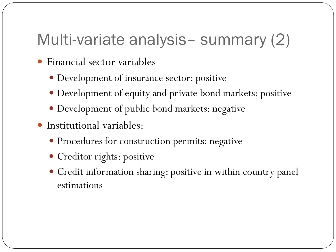#### Multi-variate analysis– summary (2)

- Financial sector variables
	- Development of insurance sector: positive
	- Development of equity and private bond markets: positive
	- Development of public bond markets: negative
- Institutional variables:
	- Procedures for construction permits: negative
	- Creditor rights: positive
	- Credit information sharing: positive in within country panel estimations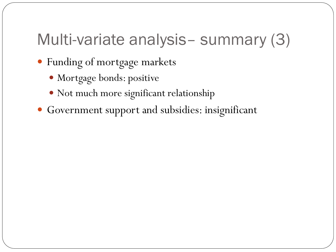#### Multi-variate analysis– summary (3)

- Funding of mortgage markets
	- Mortgage bonds: positive
	- Not much more significant relationship
- Government support and subsidies: insignificant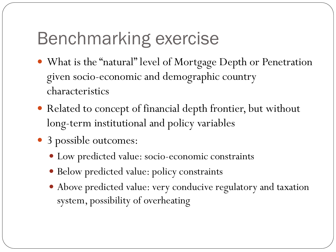# Benchmarking exercise

- What is the "natural" level of Mortgage Depth or Penetration given socio-economic and demographic country characteristics
- Related to concept of financial depth frontier, but without long-term institutional and policy variables
- 3 possible outcomes:
	- Low predicted value: socio-economic constraints
	- Below predicted value: policy constraints
	- Above predicted value: very conducive regulatory and taxation system, possibility of overheating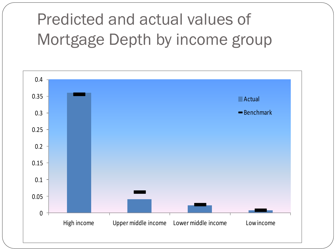## Predicted and actual values of Mortgage Depth by income group

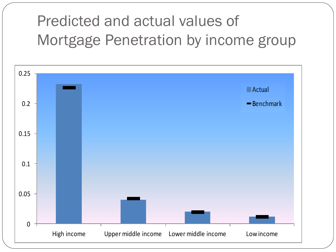#### Predicted and actual values of Mortgage Penetration by income group

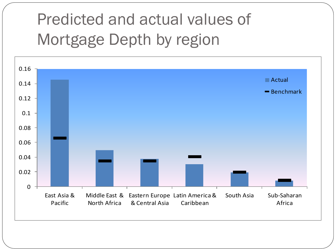## Predicted and actual values of Mortgage Depth by region

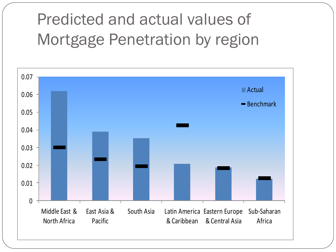## Predicted and actual values of Mortgage Penetration by region

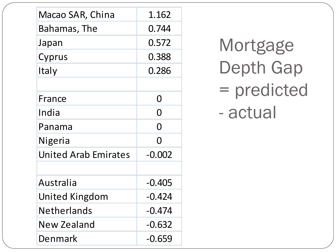| Macao SAR, China            | 1.162    |
|-----------------------------|----------|
| Bahamas, The                | 0.744    |
| Japan                       | 0.572    |
| Cyprus                      | 0.388    |
| Italy                       | 0.286    |
|                             |          |
| France                      | O        |
| India                       | Ŋ        |
| Panama                      | 0        |
| Nigeria                     | 0        |
| <b>United Arab Emirates</b> | $-0.002$ |
|                             |          |
| Australia                   | $-0.405$ |
| United Kingdom              | $-0.424$ |
| Netherlands                 | $-0.474$ |
| New Zealand                 | $-0.632$ |
| Denmark                     | $-0.659$ |

Mortgage Depth Gap = predicted - actual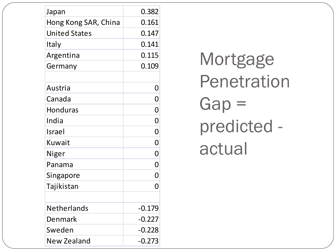| Japan                | 0.382          |
|----------------------|----------------|
| Hong Kong SAR, China | 0.161          |
| <b>United States</b> | 0.147          |
| Italy                | 0.141          |
| Argentina            | 0.115          |
| Germany              | 0.109          |
|                      |                |
| Austria              | 0              |
| Canada               | $\overline{0}$ |
| <b>Honduras</b>      | $\overline{0}$ |
| India                | $\overline{0}$ |
| Israel               | $\overline{0}$ |
| Kuwait               | $\overline{0}$ |
| Niger                | $\overline{0}$ |
| Panama               | $\overline{0}$ |
| Singapore            | $\overline{0}$ |
| Tajikistan           | O              |
|                      |                |
| <b>Netherlands</b>   | $-0.179$       |
| Denmark              | $-0.227$       |
| Sweden               | $-0.228$       |
| New Zealand          | $-0.273$       |

Mortgage Penetration Gap = predicted actual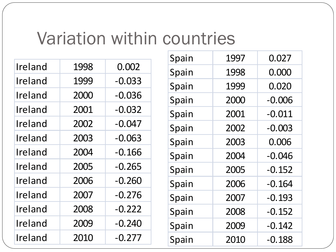#### Variation within countries

| Ireland | 1998 | 0.002    |
|---------|------|----------|
| Ireland | 1999 | $-0.033$ |
| Ireland | 2000 | $-0.036$ |
| Ireland | 2001 | $-0.032$ |
| Ireland | 2002 | $-0.047$ |
| Ireland | 2003 | $-0.063$ |
| Ireland | 2004 | $-0.166$ |
| Ireland | 2005 | $-0.265$ |
| Ireland | 2006 | $-0.260$ |
| Ireland | 2007 | $-0.276$ |
| Ireland | 2008 | $-0.222$ |
| Ireland | 2009 | $-0.240$ |
| Ireland | 2010 | $-0.277$ |

| Spain | 1997 | 0.027    |
|-------|------|----------|
| Spain | 1998 | 0.000    |
| Spain | 1999 | 0.020    |
| Spain | 2000 | $-0.006$ |
| Spain | 2001 | $-0.011$ |
| Spain | 2002 | $-0.003$ |
| Spain | 2003 | 0.006    |
| Spain | 2004 | $-0.046$ |
| Spain | 2005 | $-0.152$ |
| Spain | 2006 | $-0.164$ |
| Spain | 2007 | $-0.193$ |
| Spain | 2008 | $-0.152$ |
| Spain | 2009 | $-0.142$ |
| Spain | 2010 | $-0.188$ |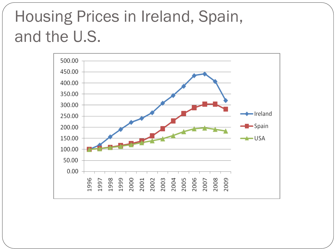#### Housing Prices in Ireland, Spain, and the U.S.

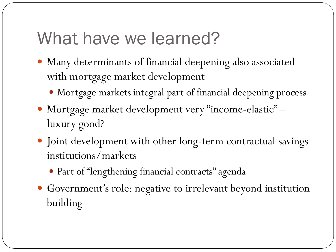## What have we learned?

- Many determinants of financial deepening also associated with mortgage market development
	- Mortgage markets integral part of financial deepening process
- Mortgage market development very "income-elastic" luxury good?
- Joint development with other long-term contractual savings institutions/markets
	- Part of "lengthening financial contracts" agenda
- Government's role: negative to irrelevant beyond institution building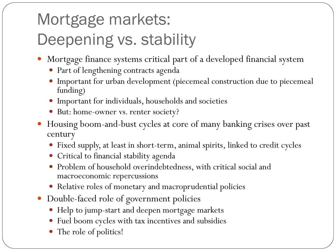# Mortgage markets: Deepening vs. stability

- Mortgage finance systems critical part of a developed financial system
	- Part of lengthening contracts agenda
	- Important for urban development (piecemeal construction due to piecemeal funding)
	- Important for individuals, households and societies
	- But: home-owner vs. renter society?
- Housing boom-and-bust cycles at core of many banking crises over past century
	- Fixed supply, at least in short-term, animal spirits, linked to credit cycles
	- Critical to financial stability agenda
	- Problem of household overindebtedness, with critical social and macroeconomic repercussions
	- Relative roles of monetary and macroprudential policies
- Double-faced role of government policies
	- Help to jump-start and deepen mortgage markets
	- Fuel boom cycles with tax incentives and subsidies
	- The role of politics!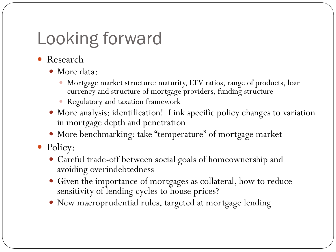# Looking forward

- Research
	- More data:
		- Mortgage market structure: maturity, LTV ratios, range of products, loan currency and structure of mortgage providers, funding structure
		- Regulatory and taxation framework
	- More analysis: identification! Link specific policy changes to variation in mortgage depth and penetration
	- More benchmarking: take "temperature" of mortgage market
- Policy:
	- Careful trade-off between social goals of homeownership and avoiding overindebtedness
	- Given the importance of mortgages as collateral, how to reduce sensitivity of lending cycles to house prices?
	- New macroprudential rules, targeted at mortgage lending